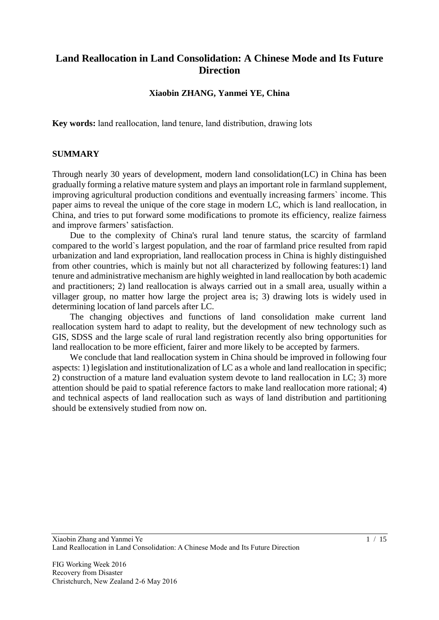# **Land Reallocation in Land Consolidation: A Chinese Mode and Its Future Direction**

#### **Xiaobin ZHANG, Yanmei YE, China**

**Key words:** land reallocation, land tenure, land distribution, drawing lots

#### **SUMMARY**

Through nearly 30 years of development, modern land consolidation(LC) in China has been gradually forming a relative mature system and plays an important role in farmland supplement, improving agricultural production conditions and eventually increasing farmers` income. This paper aims to reveal the unique of the core stage in modern LC, which is land reallocation, in China, and tries to put forward some modifications to promote its efficiency, realize fairness and improve farmers' satisfaction.

Due to the complexity of China's rural land tenure status, the scarcity of farmland compared to the world`s largest population, and the roar of farmland price resulted from rapid urbanization and land expropriation, land reallocation process in China is highly distinguished from other countries, which is mainly but not all characterized by following features:1) land tenure and administrative mechanism are highly weighted in land reallocation by both academic and practitioners; 2) land reallocation is always carried out in a small area, usually within a villager group, no matter how large the project area is; 3) drawing lots is widely used in determining location of land parcels after LC.

The changing objectives and functions of land consolidation make current land reallocation system hard to adapt to reality, but the development of new technology such as GIS, SDSS and the large scale of rural land registration recently also bring opportunities for land reallocation to be more efficient, fairer and more likely to be accepted by farmers.

We conclude that land reallocation system in China should be improved in following four aspects: 1) legislation and institutionalization of LC as a whole and land reallocation in specific; 2) construction of a mature land evaluation system devote to land reallocation in LC; 3) more attention should be paid to spatial reference factors to make land reallocation more rational; 4) and technical aspects of land reallocation such as ways of land distribution and partitioning should be extensively studied from now on.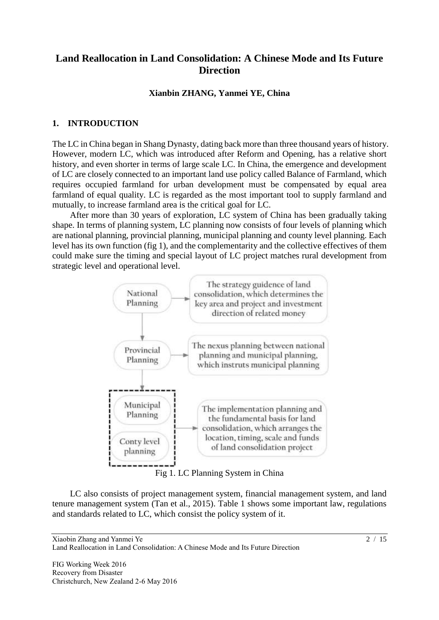# **Land Reallocation in Land Consolidation: A Chinese Mode and Its Future Direction**

### **Xianbin ZHANG, Yanmei YE, China**

## **1. INTRODUCTION**

The LC in China began in Shang Dynasty, dating back more than three thousand years of history. However, modern LC, which was introduced after Reform and Opening, has a relative short history, and even shorter in terms of large scale LC. In China, the emergence and development of LC are closely connected to an important land use policy called Balance of Farmland, which requires occupied farmland for urban development must be compensated by equal area farmland of equal quality. LC is regarded as the most important tool to supply farmland and mutually, to increase farmland area is the critical goal for LC.

 After more than 30 years of exploration, LC system of China has been gradually taking shape. In terms of planning system, LC planning now consists of four levels of planning which are national planning, provincial planning, municipal planning and county level planning. Each level has its own function (fig 1), and the complementarity and the collective effectives of them could make sure the timing and special layout of LC project matches rural development from strategic level and operational level.



LC also consists of project management system, financial management system, and land tenure management system (Tan et al., 2015). Table 1 shows some important law, regulations and standards related to LC, which consist the policy system of it.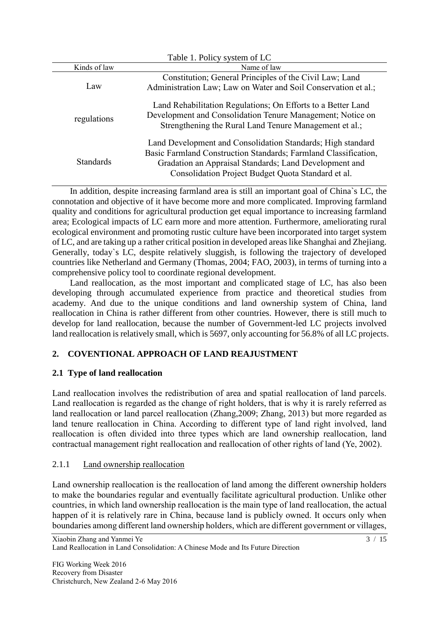| Table 1. Policy system of LC |                                                                                                                                                                                                                                                |  |  |  |
|------------------------------|------------------------------------------------------------------------------------------------------------------------------------------------------------------------------------------------------------------------------------------------|--|--|--|
| Kinds of law                 | Name of law                                                                                                                                                                                                                                    |  |  |  |
| Law                          | Constitution; General Principles of the Civil Law; Land<br>Administration Law; Law on Water and Soil Conservation et al.;                                                                                                                      |  |  |  |
| regulations                  | Land Rehabilitation Regulations; On Efforts to a Better Land<br>Development and Consolidation Tenure Management; Notice on<br>Strengthening the Rural Land Tenure Management et al.;                                                           |  |  |  |
| <b>Standards</b>             | Land Development and Consolidation Standards; High standard<br>Basic Farmland Construction Standards; Farmland Classification,<br>Gradation an Appraisal Standards; Land Development and<br>Consolidation Project Budget Quota Standard et al. |  |  |  |

In addition, despite increasing farmland area is still an important goal of China`s LC, the connotation and objective of it have become more and more complicated. Improving farmland quality and conditions for agricultural production get equal importance to increasing farmland area; Ecological impacts of LC earn more and more attention. Furthermore, ameliorating rural ecological environment and promoting rustic culture have been incorporated into target system of LC, and are taking up a rather critical position in developed areas like Shanghai and Zhejiang. Generally, today`s LC, despite relatively sluggish, is following the trajectory of developed countries like Netherland and Germany (Thomas, 2004; FAO, 2003), in terms of turning into a comprehensive policy tool to coordinate regional development.

Land reallocation, as the most important and complicated stage of LC, has also been developing through accumulated experience from practice and theoretical studies from academy. And due to the unique conditions and land ownership system of China, land reallocation in China is rather different from other countries. However, there is still much to develop for land reallocation, because the number of Government-led LC projects involved land reallocation is relatively small, which is 5697, only accounting for 56.8% of all LC projects.

# **2. COVENTIONAL APPROACH OF LAND REAJUSTMENT**

## **2.1 Type of land reallocation**

Land reallocation involves the redistribution of area and spatial reallocation of land parcels. Land reallocation is regarded as the change of right holders, that is why it is rarely referred as land reallocation or land parcel reallocation (Zhang,2009; Zhang, 2013) but more regarded as land tenure reallocation in China. According to different type of land right involved, land reallocation is often divided into three types which are land ownership reallocation, land contractual management right reallocation and reallocation of other rights of land (Ye, 2002).

### 2.1.1 Land ownership reallocation

Land ownership reallocation is the reallocation of land among the different ownership holders to make the boundaries regular and eventually facilitate agricultural production. Unlike other countries, in which land ownership reallocation is the main type of land reallocation, the actual happen of it is relatively rare in China, because land is publicly owned. It occurs only when boundaries among different land ownership holders, which are different government or villages,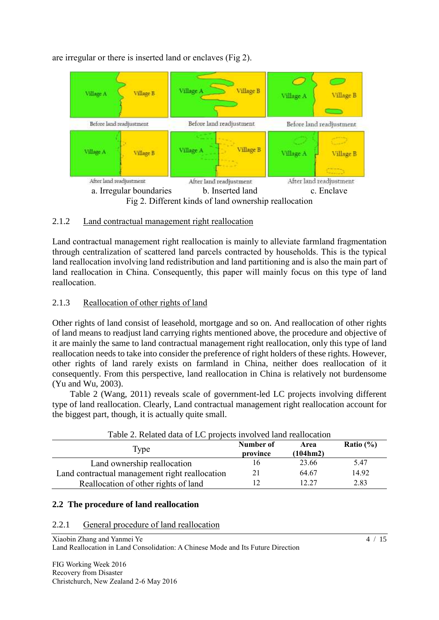

are irregular or there is inserted land or enclaves (Fig 2).

### 2.1.2 Land contractual management right reallocation

Land contractual management right reallocation is mainly to alleviate farmland fragmentation through centralization of scattered land parcels contracted by households. This is the typical land reallocation involving land redistribution and land partitioning and is also the main part of land reallocation in China. Consequently, this paper will mainly focus on this type of land reallocation.

#### 2.1.3 Reallocation of other rights of land

Other rights of land consist of leasehold, mortgage and so on. And reallocation of other rights of land means to readjust land carrying rights mentioned above, the procedure and objective of it are mainly the same to land contractual management right reallocation, only this type of land reallocation needs to take into consider the preference of right holders of these rights. However, other rights of land rarely exists on farmland in China, neither does reallocation of it consequently. From this perspective, land reallocation in China is relatively not burdensome (Yu and Wu, 2003).

Table 2 (Wang, 2011) reveals scale of government-led LC projects involving different type of land reallocation. Clearly, Land contractual management right reallocation account for the biggest part, though, it is actually quite small.

| Table 2. Related data of LC projects involved land reallocation |                       |                  |               |  |  |
|-----------------------------------------------------------------|-----------------------|------------------|---------------|--|--|
| Type                                                            | Number of<br>province | Area<br>(104hm2) | Ratio $(\% )$ |  |  |
| Land ownership reallocation                                     | 16                    | 23.66            | 5.47          |  |  |
| Land contractual management right reallocation                  | 21                    | 64.67            | 14.92         |  |  |
| Reallocation of other rights of land                            |                       | 12.27            | 2.83          |  |  |

#### Table 2. Related data of LC projects involved land reallocation

#### **2.2 The procedure of land reallocation**

#### 2.2.1 General procedure of land reallocation

Xiaobin Zhang and Yanmei Ye 4 / 15 Land Reallocation in Land Consolidation: A Chinese Mode and Its Future Direction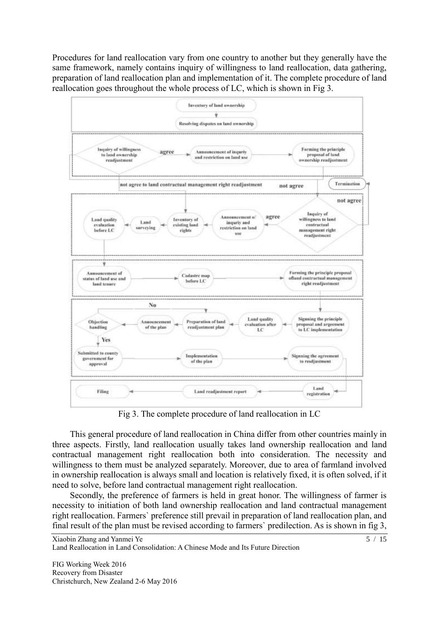Procedures for land reallocation vary from one country to another but they generally have the same framework, namely contains inquiry of willingness to land reallocation, data gathering, preparation of land reallocation plan and implementation of it. The complete procedure of land reallocation goes throughout the whole process of LC, which is shown in Fig 3.



Fig 3. The complete procedure of land reallocation in LC

This general procedure of land reallocation in China differ from other countries mainly in three aspects. Firstly, land reallocation usually takes land ownership reallocation and land contractual management right reallocation both into consideration. The necessity and willingness to them must be analyzed separately. Moreover, due to area of farmland involved in ownership reallocation is always small and location is relatively fixed, it is often solved, if it need to solve, before land contractual management right reallocation.

Secondly, the preference of farmers is held in great honor. The willingness of farmer is necessity to initiation of both land ownership reallocation and land contractual management right reallocation. Farmers` preference still prevail in preparation of land reallocation plan, and final result of the plan must be revised according to farmers` predilection. As is shown in fig 3,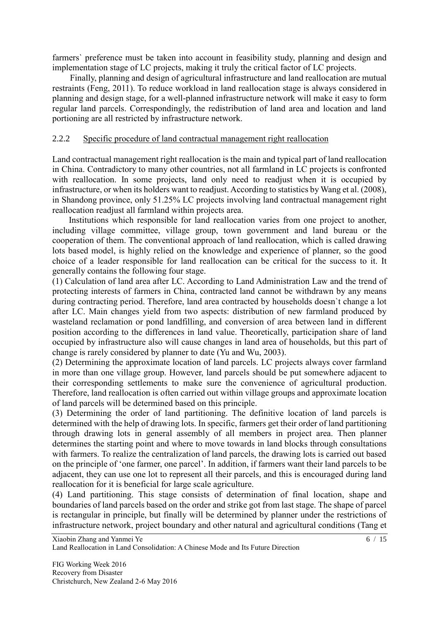farmers` preference must be taken into account in feasibility study, planning and design and implementation stage of LC projects, making it truly the critical factor of LC projects.

Finally, planning and design of agricultural infrastructure and land reallocation are mutual restraints (Feng, 2011). To reduce workload in land reallocation stage is always considered in planning and design stage, for a well-planned infrastructure network will make it easy to form regular land parcels. Correspondingly, the redistribution of land area and location and land portioning are all restricted by infrastructure network.

#### 2.2.2 Specific procedure of land contractual management right reallocation

Land contractual management right reallocation is the main and typical part of land reallocation in China. Contradictory to many other countries, not all farmland in LC projects is confronted with reallocation. In some projects, land only need to readjust when it is occupied by infrastructure, or when its holders want to readjust. According to statistics by Wang et al. (2008), in Shandong province, only 51.25% LC projects involving land contractual management right reallocation readjust all farmland within projects area.

Institutions which responsible for land reallocation varies from one project to another, including village committee, village group, town government and land bureau or the cooperation of them. The conventional approach of land reallocation, which is called drawing lots based model, is highly relied on the knowledge and experience of planner, so the good choice of a leader responsible for land reallocation can be critical for the success to it. It generally contains the following four stage.

(1) Calculation of land area after LC. According to Land Administration Law and the trend of protecting interests of farmers in China, contracted land cannot be withdrawn by any means during contracting period. Therefore, land area contracted by households doesn`t change a lot after LC. Main changes yield from two aspects: distribution of new farmland produced by wasteland reclamation or pond landfilling, and conversion of area between land in different position according to the differences in land value. Theoretically, participation share of land occupied by infrastructure also will cause changes in land area of households, but this part of change is rarely considered by planner to date (Yu and Wu, 2003).

(2) Determining the approximate location of land parcels. LC projects always cover farmland in more than one village group. However, land parcels should be put somewhere adjacent to their corresponding settlements to make sure the convenience of agricultural production. Therefore, land reallocation is often carried out within village groups and approximate location of land parcels will be determined based on this principle.

(3) Determining the order of land partitioning. The definitive location of land parcels is determined with the help of drawing lots. In specific, farmers get their order of land partitioning through drawing lots in general assembly of all members in project area. Then planner determines the starting point and where to move towards in land blocks through consultations with farmers. To realize the centralization of land parcels, the drawing lots is carried out based on the principle of 'one farmer, one parcel'. In addition, if farmers want their land parcels to be adjacent, they can use one lot to represent all their parcels, and this is encouraged during land reallocation for it is beneficial for large scale agriculture.

(4) Land partitioning. This stage consists of determination of final location, shape and boundaries of land parcels based on the order and strike got from last stage. The shape of parcel is rectangular in principle, but finally will be determined by planner under the restrictions of infrastructure network, project boundary and other natural and agricultural conditions (Tang et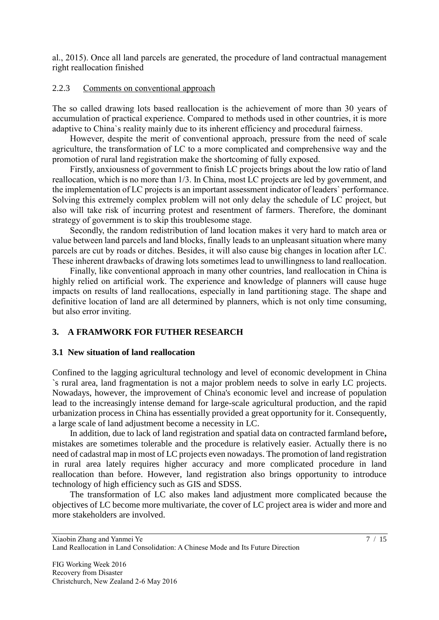al., 2015). Once all land parcels are generated, the procedure of land contractual management right reallocation finished

### 2.2.3 Comments on conventional approach

The so called drawing lots based reallocation is the achievement of more than 30 years of accumulation of practical experience. Compared to methods used in other countries, it is more adaptive to China`s reality mainly due to its inherent efficiency and procedural fairness.

However, despite the merit of conventional approach, pressure from the need of scale agriculture, the transformation of LC to a more complicated and comprehensive way and the promotion of rural land registration make the shortcoming of fully exposed.

Firstly, anxiousness of government to finish LC projects brings about the low ratio of land reallocation, which is no more than 1/3. In China, most LC projects are led by government, and the implementation of LC projects is an important assessment indicator of leaders` performance. Solving this extremely complex problem will not only delay the schedule of LC project, but also will take risk of incurring protest and resentment of farmers. Therefore, the dominant strategy of government is to skip this troublesome stage.

Secondly, the random redistribution of land location makes it very hard to match area or value between land parcels and land blocks, finally leads to an unpleasant situation where many parcels are cut by roads or ditches. Besides, it will also cause big changes in location after LC. These inherent drawbacks of drawing lots sometimes lead to unwillingness to land reallocation.

Finally, like conventional approach in many other countries, land reallocation in China is highly relied on artificial work. The experience and knowledge of planners will cause huge impacts on results of land reallocations, especially in land partitioning stage. The shape and definitive location of land are all determined by planners, which is not only time consuming, but also error inviting.

### **3. A FRAMWORK FOR FUTHER RESEARCH**

### **3.1 New situation of land reallocation**

Confined to the lagging agricultural technology and level of economic development in China `s rural area, land fragmentation is not a major problem needs to solve in early LC projects. Nowadays, however, the improvement of China's economic level and increase of population lead to the increasingly intense demand for large-scale agricultural production, and the rapid urbanization process in China has essentially provided a great opportunity for it. Consequently, a large scale of land adjustment become a necessity in LC.

In addition, due to lack of land registration and spatial data on contracted farmland before**,** mistakes are sometimes tolerable and the procedure is relatively easier. Actually there is no need of cadastral map in most of LC projects even nowadays. The promotion of land registration in rural area lately requires higher accuracy and more complicated procedure in land reallocation than before. However, land registration also brings opportunity to introduce technology of high efficiency such as GIS and SDSS.

The transformation of LC also makes land adjustment more complicated because the objectives of LC become more multivariate, the cover of LC project area is wider and more and more stakeholders are involved.

Xiaobin Zhang and Yanmei Ye 7 / 15 Land Reallocation in Land Consolidation: A Chinese Mode and Its Future Direction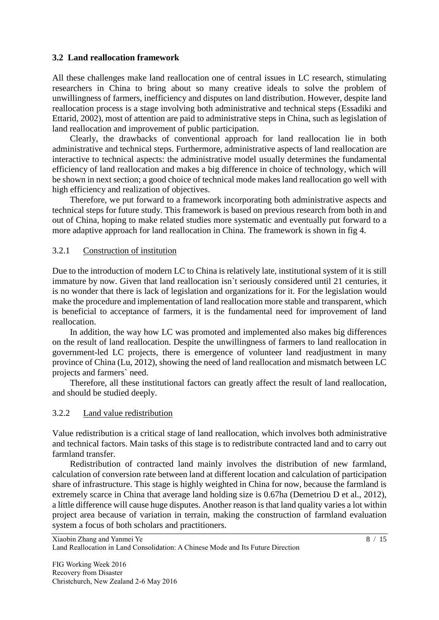### **3.2 Land reallocation framework**

All these challenges make land reallocation one of central issues in LC research, stimulating researchers in China to bring about so many creative ideals to solve the problem of unwillingness of farmers, inefficiency and disputes on land distribution. However, despite land reallocation process is a stage involving both administrative and technical steps (Essadiki and Ettarid, 2002), most of attention are paid to administrative steps in China, such as legislation of land reallocation and improvement of public participation.

Clearly, the drawbacks of conventional approach for land reallocation lie in both administrative and technical steps. Furthermore, administrative aspects of land reallocation are interactive to technical aspects: the administrative model usually determines the fundamental efficiency of land reallocation and makes a big difference in choice of technology, which will be shown in next section; a good choice of technical mode makes land reallocation go well with high efficiency and realization of objectives.

Therefore, we put forward to a framework incorporating both administrative aspects and technical steps for future study. This framework is based on previous research from both in and out of China, hoping to make related studies more systematic and eventually put forward to a more adaptive approach for land reallocation in China. The framework is shown in fig 4.

## 3.2.1 Construction of institution

Due to the introduction of modern LC to China is relatively late, institutional system of it is still immature by now. Given that land reallocation isn`t seriously considered until 21 centuries, it is no wonder that there is lack of legislation and organizations for it. For the legislation would make the procedure and implementation of land reallocation more stable and transparent, which is beneficial to acceptance of farmers, it is the fundamental need for improvement of land reallocation.

In addition, the way how LC was promoted and implemented also makes big differences on the result of land reallocation. Despite the unwillingness of farmers to land reallocation in government-led LC projects, there is emergence of volunteer land readjustment in many province of China (Lu, 2012), showing the need of land reallocation and mismatch between LC projects and farmers` need.

Therefore, all these institutional factors can greatly affect the result of land reallocation, and should be studied deeply.

### 3.2.2 Land value redistribution

Value redistribution is a critical stage of land reallocation, which involves both administrative and technical factors. Main tasks of this stage is to redistribute contracted land and to carry out farmland transfer.

Redistribution of contracted land mainly involves the distribution of new farmland, calculation of conversion rate between land at different location and calculation of participation share of infrastructure. This stage is highly weighted in China for now, because the farmland is extremely scarce in China that average land holding size is 0.67ha (Demetriou D et al., 2012), a little difference will cause huge disputes. Another reason is that land quality varies a lot within project area because of variation in terrain, making the construction of farmland evaluation system a focus of both scholars and practitioners.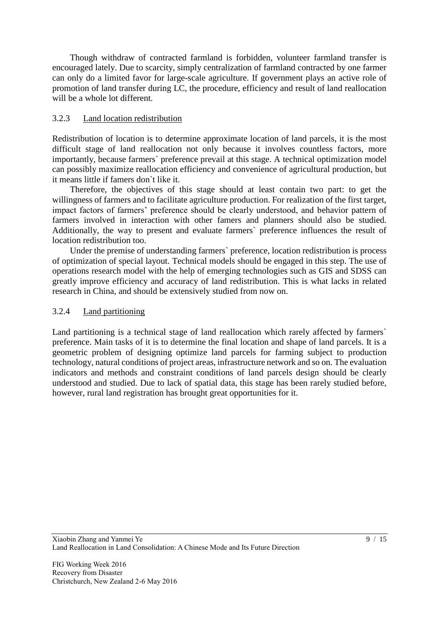Though withdraw of contracted farmland is forbidden, volunteer farmland transfer is encouraged lately. Due to scarcity, simply centralization of farmland contracted by one farmer can only do a limited favor for large-scale agriculture. If government plays an active role of promotion of land transfer during LC, the procedure, efficiency and result of land reallocation will be a whole lot different.

## 3.2.3 Land location redistribution

Redistribution of location is to determine approximate location of land parcels, it is the most difficult stage of land reallocation not only because it involves countless factors, more importantly, because farmers` preference prevail at this stage. A technical optimization model can possibly maximize reallocation efficiency and convenience of agricultural production, but it means little if famers don`t like it.

Therefore, the objectives of this stage should at least contain two part: to get the willingness of farmers and to facilitate agriculture production. For realization of the first target, impact factors of farmers' preference should be clearly understood, and behavior pattern of farmers involved in interaction with other famers and planners should also be studied. Additionally, the way to present and evaluate farmers` preference influences the result of location redistribution too.

Under the premise of understanding farmers` preference, location redistribution is process of optimization of special layout. Technical models should be engaged in this step. The use of operations research model with the help of emerging technologies such as GIS and SDSS can greatly improve efficiency and accuracy of land redistribution. This is what lacks in related research in China, and should be extensively studied from now on.

### 3.2.4 Land partitioning

Land partitioning is a technical stage of land reallocation which rarely affected by farmers` preference. Main tasks of it is to determine the final location and shape of land parcels. It is a geometric problem of designing optimize land parcels for farming subject to production technology, natural conditions of project areas, infrastructure network and so on. The evaluation indicators and methods and constraint conditions of land parcels design should be clearly understood and studied. Due to lack of spatial data, this stage has been rarely studied before, however, rural land registration has brought great opportunities for it.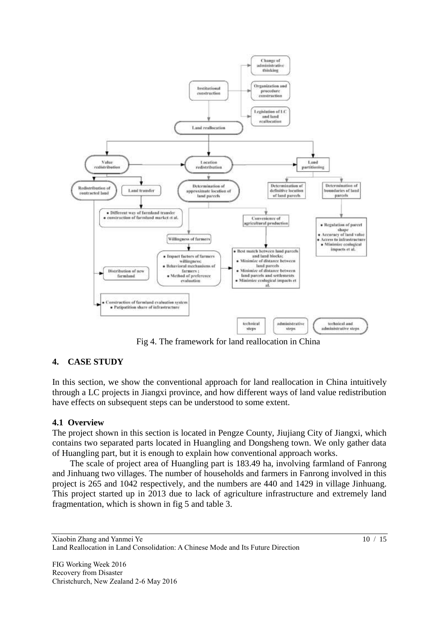

Fig 4. The framework for land reallocation in China

## **4. CASE STUDY**

In this section, we show the conventional approach for land reallocation in China intuitively through a LC projects in Jiangxi province, and how different ways of land value redistribution have effects on subsequent steps can be understood to some extent.

### **4.1 Overview**

The project shown in this section is located in Pengze County, Jiujiang City of Jiangxi, which contains two separated parts located in Huangling and Dongsheng town. We only gather data of Huangling part, but it is enough to explain how conventional approach works.

The scale of project area of Huangling part is 183.49 ha, involving farmland of Fanrong and Jinhuang two villages. The number of households and farmers in Fanrong involved in this project is 265 and 1042 respectively, and the numbers are 440 and 1429 in village Jinhuang. This project started up in 2013 due to lack of agriculture infrastructure and extremely land fragmentation, which is shown in fig 5 and table 3.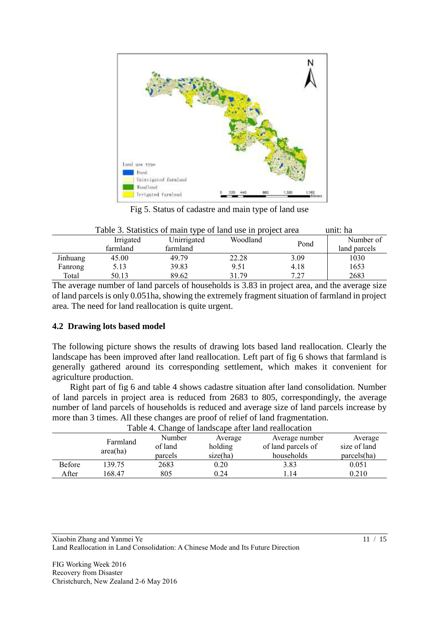

Fig 5. Status of cadastre and main type of land use

|          | Table 3. Statistics of main type of land use in project area |             |          |      | unit: ha     |
|----------|--------------------------------------------------------------|-------------|----------|------|--------------|
|          | Irrigated                                                    | Unirrigated | Woodland | Pond | Number of    |
|          | farmland                                                     | farmland    |          |      | land parcels |
| Jinhuang | 45.00                                                        | 49.79       | 22.28    | 3.09 | 1030         |
| Fanrong  | 5.13                                                         | 39.83       | 9.51     | 4.18 | 1653         |
| Total    | 50.13                                                        | 89.62       | 31.79    | 7.27 | 2683         |

# The average number of land parcels of households is 3.83 in project area, and the average size of land parcels is only 0.051ha, showing the extremely fragment situation of farmland in project area. The need for land reallocation is quite urgent.

### **4.2 Drawing lots based model**

The following picture shows the results of drawing lots based land reallocation. Clearly the landscape has been improved after land reallocation. Left part of fig 6 shows that farmland is generally gathered around its corresponding settlement, which makes it convenient for agriculture production.

Right part of fig 6 and table 4 shows cadastre situation after land consolidation. Number of land parcels in project area is reduced from 2683 to 805, correspondingly, the average number of land parcels of households is reduced and average size of land parcels increase by more than 3 times. All these changes are proof of relief of land fragmentation.

| Table 4. Change of famuscape after failu reamocation |          |         |          |                    |              |  |
|------------------------------------------------------|----------|---------|----------|--------------------|--------------|--|
|                                                      | Farmland | Number  | Average  | Average number     | Average      |  |
|                                                      | area(ha) | of land | holding  | of land parcels of | size of land |  |
|                                                      |          | parcels | size(ha) | households         | parcels(ha)  |  |
| Before                                               | 139.75   | 2683    | 0.20     | 3.83               | 0.051        |  |
| After                                                | 168.47   | 805     | 0.24     | .14                | 0.210        |  |

Table 4. Change of landscape after land reallocation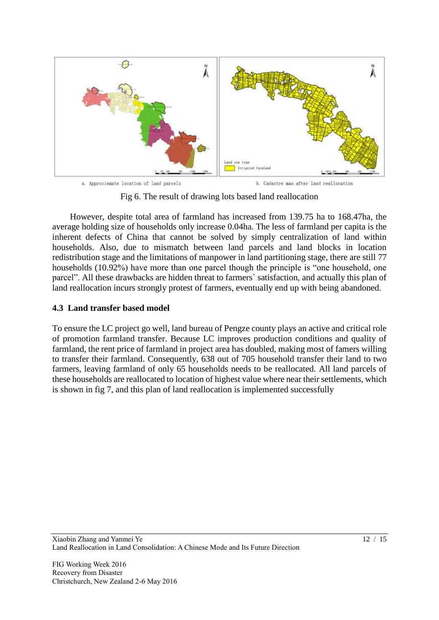

Fig 6. The result of drawing lots based land reallocation

However, despite total area of farmland has increased from 139.75 ha to 168.47ha, the average holding size of households only increase 0.04ha. The less of farmland per capita is the inherent defects of China that cannot be solved by simply centralization of land within households. Also, due to mismatch between land parcels and land blocks in location redistribution stage and the limitations of manpower in land partitioning stage, there are still 77 households (10.92%) have more than one parcel though the principle is "one household, one parcel". All these drawbacks are hidden threat to farmers` satisfaction, and actually this plan of land reallocation incurs strongly protest of farmers, eventually end up with being abandoned.

#### **4.3 Land transfer based model**

To ensure the LC project go well, land bureau of Pengze county plays an active and critical role of promotion farmland transfer. Because LC improves production conditions and quality of farmland, the rent price of farmland in project area has doubled, making most of famers willing to transfer their farmland. Consequently, 638 out of 705 household transfer their land to two farmers, leaving farmland of only 65 households needs to be reallocated. All land parcels of these households are reallocated to location of highest value where near their settlements, which is shown in fig 7, and this plan of land reallocation is implemented successfully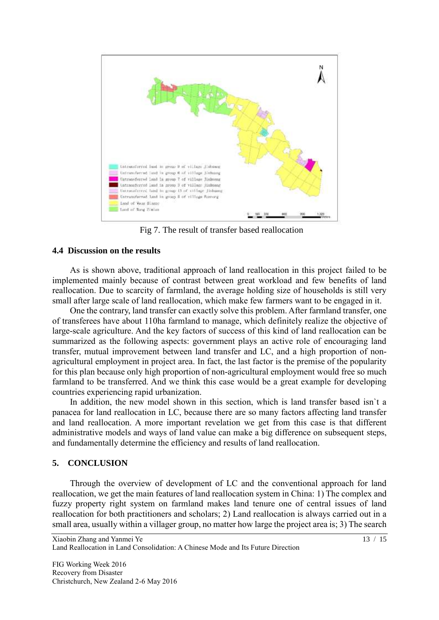

Fig 7. The result of transfer based reallocation

#### **4.4 Discussion on the results**

As is shown above, traditional approach of land reallocation in this project failed to be implemented mainly because of contrast between great workload and few benefits of land reallocation. Due to scarcity of farmland, the average holding size of households is still very small after large scale of land reallocation, which make few farmers want to be engaged in it.

One the contrary, land transfer can exactly solve this problem. After farmland transfer, one of transferees have about 110ha farmland to manage, which definitely realize the objective of large-scale agriculture. And the key factors of success of this kind of land reallocation can be summarized as the following aspects: government plays an active role of encouraging land transfer, mutual improvement between land transfer and LC, and a high proportion of nonagricultural employment in project area. In fact, the last factor is the premise of the popularity for this plan because only high proportion of non-agricultural employment would free so much farmland to be transferred. And we think this case would be a great example for developing countries experiencing rapid urbanization.

In addition, the new model shown in this section, which is land transfer based isn`t a panacea for land reallocation in LC, because there are so many factors affecting land transfer and land reallocation. A more important revelation we get from this case is that different administrative models and ways of land value can make a big difference on subsequent steps, and fundamentally determine the efficiency and results of land reallocation.

#### **5. CONCLUSION**

Through the overview of development of LC and the conventional approach for land reallocation, we get the main features of land reallocation system in China: 1) The complex and fuzzy property right system on farmland makes land tenure one of central issues of land reallocation for both practitioners and scholars; 2) Land reallocation is always carried out in a small area, usually within a villager group, no matter how large the project area is; 3) The search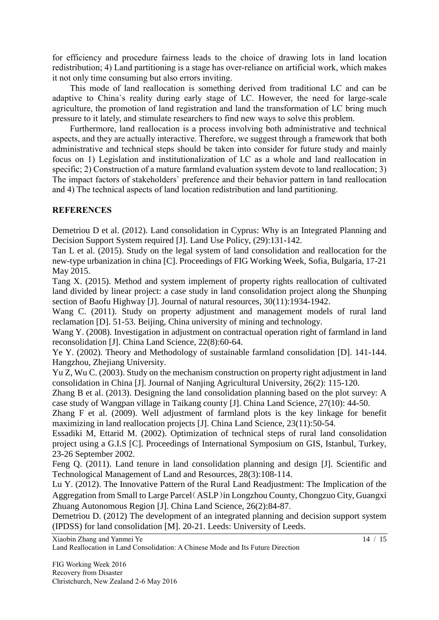for efficiency and procedure fairness leads to the choice of drawing lots in land location redistribution; 4) Land partitioning is a stage has over-reliance on artificial work, which makes it not only time consuming but also errors inviting.

This mode of land reallocation is something derived from traditional LC and can be adaptive to China`s reality during early stage of LC. However, the need for large-scale agriculture, the promotion of land registration and land the transformation of LC bring much pressure to it lately, and stimulate researchers to find new ways to solve this problem.

Furthermore, land reallocation is a process involving both administrative and technical aspects, and they are actually interactive. Therefore, we suggest through a framework that both administrative and technical steps should be taken into consider for future study and mainly focus on 1) Legislation and institutionalization of LC as a whole and land reallocation in specific; 2) Construction of a mature farmland evaluation system devote to land reallocation; 3) The impact factors of stakeholders` preference and their behavior pattern in land reallocation and 4) The technical aspects of land location redistribution and land partitioning.

### **REFERENCES**

Demetriou D et al. (2012). Land consolidation in Cyprus: Why is an Integrated Planning and Decision Support System required [J]. Land Use Policy, (29):131-142.

Tan L et al. (2015). Study on the legal system of land consolidation and reallocation for the new-type urbanization in china [C]. Proceedings of FIG Working Week, Sofia, Bulgaria, 17-21 May 2015.

Tang X. (2015). Method and system implement of property rights reallocation of cultivated land divided by linear project: a case study in land consolidation project along the Shunping section of Baofu Highway [J]. Journal of natural resources, 30(11):1934-1942.

Wang C. (2011). Study on property adjustment and management models of rural land reclamation [D]. 51-53. Beijing, China university of mining and technology.

Wang Y. (2008). Investigation in adjustment on contractual operation right of farmland in land reconsolidation [J]. China Land Science, 22(8):60-64.

Ye Y. (2002). Theory and Methodology of sustainable farmland consolidation [D]. 141-144. Hangzhou, Zhejiang University.

Yu Z, Wu C. (2003). Study on the mechanism construction on property right adjustment in land consolidation in China [J]. Journal of Nanjing Agricultural University, 26(2): 115-120.

Zhang B et al. (2013). Designing the land consolidation planning based on the plot survey: A case study of Wangpan village in Taikang county [J]. China Land Science, 27(10): 44-50.

Zhang F et al. (2009). Well adjustment of farmland plots is the key linkage for benefit maximizing in land reallocation projects [J]. China Land Science, 23(11):50-54.

Essadiki M, Ettarid M. (2002). Optimization of technical steps of rural land consolidation project using a G.I.S [C]. Proceedings of International Symposium on GIS, Istanbul, Turkey, 23-26 September 2002.

Feng Q. (2011). Land tenure in land consolidation planning and design [J]. Scientific and Technological Management of Land and Resources, 28(3):108-114.

Lu Y. (2012). The Innovative Pattern of the Rural Land Readjustment: The Implication of the Aggregation from Small to Large Parcel(ASLP)in Longzhou County, Chongzuo City, Guangxi Zhuang Autonomous Region [J]. China Land Science, 26(2):84-87.

Demetriou D. (2012) The development of an integrated planning and decision support system (IPDSS) for land consolidation [M]. 20-21. Leeds: University of Leeds.